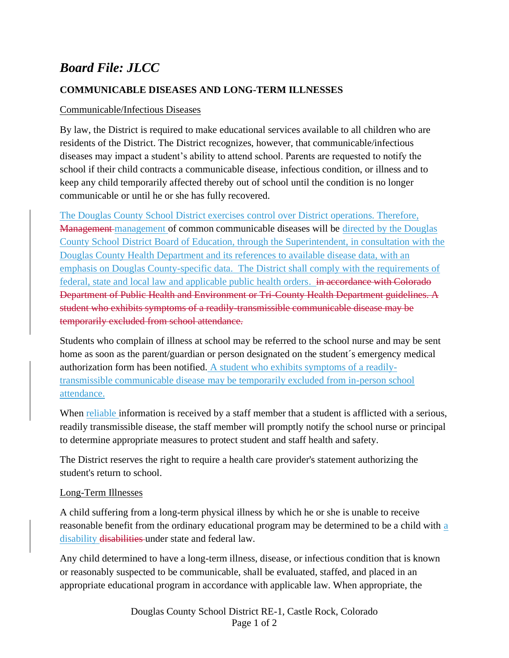# *Board File: JLCC*

#### **COMMUNICABLE DISEASES AND LONG-TERM ILLNESSES**

#### Communicable/Infectious Diseases

By law, the District is required to make educational services available to all children who are residents of the District. The District recognizes, however, that communicable/infectious diseases may impact a student's ability to attend school. Parents are requested to notify the school if their child contracts a communicable disease, infectious condition, or illness and to keep any child temporarily affected thereby out of school until the condition is no longer communicable or until he or she has fully recovered.

The Douglas County School District exercises control over District operations. Therefore, Management management of common communicable diseases will be directed by the Douglas County School District Board of Education, through the Superintendent, in consultation with the Douglas County Health Department and its references to available disease data, with an emphasis on Douglas County-specific data. The District shall comply with the requirements of federal, state and local law and applicable public health orders. in accordance with Colorado Department of Public Health and Environment or Tri-County Health Department guidelines. A student who exhibits symptoms of a readily-transmissible communicable disease may be temporarily excluded from school attendance.

Students who complain of illness at school may be referred to the school nurse and may be sent home as soon as the parent/guardian or person designated on the student´s emergency medical authorization form has been notified. A student who exhibits symptoms of a readilytransmissible communicable disease may be temporarily excluded from in-person school attendance.

When reliable information is received by a staff member that a student is afflicted with a serious, readily transmissible disease, the staff member will promptly notify the school nurse or principal to determine appropriate measures to protect student and staff health and safety.

The District reserves the right to require a health care provider's statement authorizing the student's return to school.

#### Long-Term Illnesses

A child suffering from a long-term physical illness by which he or she is unable to receive reasonable benefit from the ordinary educational program may be determined to be a child with a disability disabilities under state and federal law.

Any child determined to have a long-term illness, disease, or infectious condition that is known or reasonably suspected to be communicable, shall be evaluated, staffed, and placed in an appropriate educational program in accordance with applicable law. When appropriate, the

> Douglas County School District RE-1, Castle Rock, Colorado Page 1 of 2